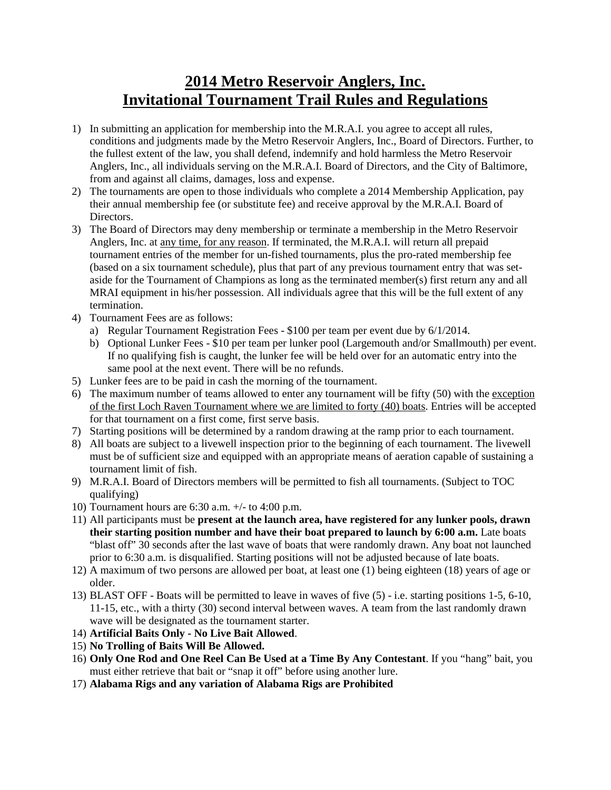## **2014 Metro Reservoir Anglers, Inc. Invitational Tournament Trail Rules and Regulations**

- 1) In submitting an application for membership into the M.R.A.I. you agree to accept all rules, conditions and judgments made by the Metro Reservoir Anglers, Inc., Board of Directors. Further, to the fullest extent of the law, you shall defend, indemnify and hold harmless the Metro Reservoir Anglers, Inc., all individuals serving on the M.R.A.I. Board of Directors, and the City of Baltimore, from and against all claims, damages, loss and expense.
- 2) The tournaments are open to those individuals who complete a 2014 Membership Application, pay their annual membership fee (or substitute fee) and receive approval by the M.R.A.I. Board of Directors.
- 3) The Board of Directors may deny membership or terminate a membership in the Metro Reservoir Anglers, Inc. at any time, for any reason. If terminated, the M.R.A.I. will return all prepaid tournament entries of the member for un-fished tournaments, plus the pro-rated membership fee (based on a six tournament schedule), plus that part of any previous tournament entry that was setaside for the Tournament of Champions as long as the terminated member(s) first return any and all MRAI equipment in his/her possession. All individuals agree that this will be the full extent of any termination.
- 4) Tournament Fees are as follows:
	- a) Regular Tournament Registration Fees \$100 per team per event due by 6/1/2014.
	- b) Optional Lunker Fees \$10 per team per lunker pool (Largemouth and/or Smallmouth) per event. If no qualifying fish is caught, the lunker fee will be held over for an automatic entry into the same pool at the next event. There will be no refunds.
- 5) Lunker fees are to be paid in cash the morning of the tournament.
- 6) The maximum number of teams allowed to enter any tournament will be fifty (50) with the exception of the first Loch Raven Tournament where we are limited to forty (40) boats. Entries will be accepted for that tournament on a first come, first serve basis.
- 7) Starting positions will be determined by a random drawing at the ramp prior to each tournament.
- 8) All boats are subject to a livewell inspection prior to the beginning of each tournament. The livewell must be of sufficient size and equipped with an appropriate means of aeration capable of sustaining a tournament limit of fish.
- 9) M.R.A.I. Board of Directors members will be permitted to fish all tournaments. (Subject to TOC qualifying)
- 10) Tournament hours are 6:30 a.m. +/- to 4:00 p.m.
- 11) All participants must be **present at the launch area, have registered for any lunker pools, drawn their starting position number and have their boat prepared to launch by 6:00 a.m.** Late boats "blast off" 30 seconds after the last wave of boats that were randomly drawn. Any boat not launched prior to 6:30 a.m. is disqualified. Starting positions will not be adjusted because of late boats.
- 12) A maximum of two persons are allowed per boat, at least one (1) being eighteen (18) years of age or older.
- 13) BLAST OFF Boats will be permitted to leave in waves of five (5) i.e. starting positions 1-5, 6-10, 11-15, etc., with a thirty (30) second interval between waves. A team from the last randomly drawn wave will be designated as the tournament starter.
- 14) **Artificial Baits Only - No Live Bait Allowed**.
- 15) **No Trolling of Baits Will Be Allowed.**
- 16) **Only One Rod and One Reel Can Be Used at a Time By Any Contestant**. If you "hang" bait, you must either retrieve that bait or "snap it off" before using another lure.
- 17) **Alabama Rigs and any variation of Alabama Rigs are Prohibited**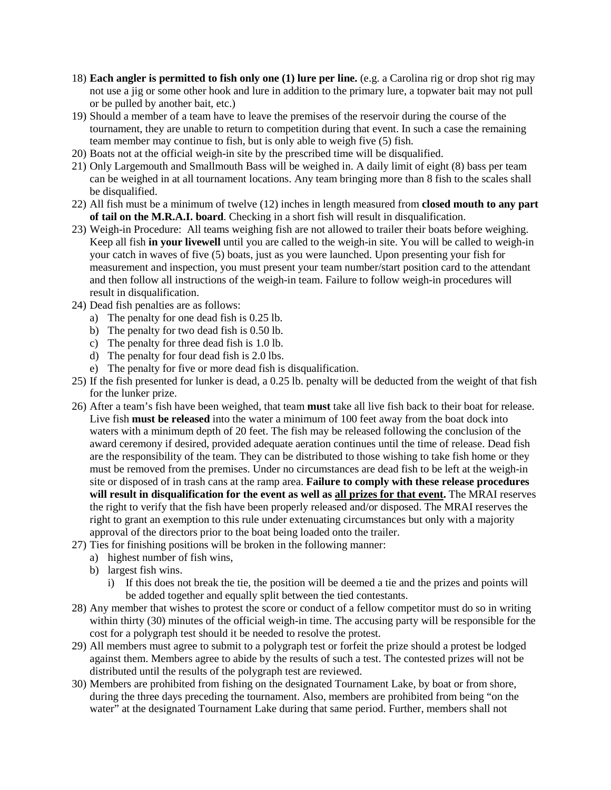- 18) **Each angler is permitted to fish only one (1) lure per line.** (e.g. a Carolina rig or drop shot rig may not use a jig or some other hook and lure in addition to the primary lure, a topwater bait may not pull or be pulled by another bait, etc.)
- 19) Should a member of a team have to leave the premises of the reservoir during the course of the tournament, they are unable to return to competition during that event. In such a case the remaining team member may continue to fish, but is only able to weigh five (5) fish.
- 20) Boats not at the official weigh-in site by the prescribed time will be disqualified.
- 21) Only Largemouth and Smallmouth Bass will be weighed in. A daily limit of eight (8) bass per team can be weighed in at all tournament locations. Any team bringing more than 8 fish to the scales shall be disqualified.
- 22) All fish must be a minimum of twelve (12) inches in length measured from **closed mouth to any part of tail on the M.R.A.I. board**. Checking in a short fish will result in disqualification.
- 23) Weigh-in Procedure: All teams weighing fish are not allowed to trailer their boats before weighing. Keep all fish **in your livewell** until you are called to the weigh-in site. You will be called to weigh-in your catch in waves of five (5) boats, just as you were launched. Upon presenting your fish for measurement and inspection, you must present your team number/start position card to the attendant and then follow all instructions of the weigh-in team. Failure to follow weigh-in procedures will result in disqualification.
- 24) Dead fish penalties are as follows:
	- a) The penalty for one dead fish is 0.25 lb.
	- b) The penalty for two dead fish is 0.50 lb.
	- c) The penalty for three dead fish is 1.0 lb.
	- d) The penalty for four dead fish is 2.0 lbs.
	- e) The penalty for five or more dead fish is disqualification.
- 25) If the fish presented for lunker is dead, a 0.25 lb. penalty will be deducted from the weight of that fish for the lunker prize.
- 26) After a team's fish have been weighed, that team **must** take all live fish back to their boat for release. Live fish **must be released** into the water a minimum of 100 feet away from the boat dock into waters with a minimum depth of 20 feet. The fish may be released following the conclusion of the award ceremony if desired, provided adequate aeration continues until the time of release. Dead fish are the responsibility of the team. They can be distributed to those wishing to take fish home or they must be removed from the premises. Under no circumstances are dead fish to be left at the weigh-in site or disposed of in trash cans at the ramp area. **Failure to comply with these release procedures will result in disqualification for the event as well as all prizes for that event.** The MRAI reserves the right to verify that the fish have been properly released and/or disposed. The MRAI reserves the right to grant an exemption to this rule under extenuating circumstances but only with a majority approval of the directors prior to the boat being loaded onto the trailer.
- 27) Ties for finishing positions will be broken in the following manner:
	- a) highest number of fish wins,
	- b) largest fish wins.
		- i) If this does not break the tie, the position will be deemed a tie and the prizes and points will be added together and equally split between the tied contestants.
- 28) Any member that wishes to protest the score or conduct of a fellow competitor must do so in writing within thirty (30) minutes of the official weigh-in time. The accusing party will be responsible for the cost for a polygraph test should it be needed to resolve the protest.
- 29) All members must agree to submit to a polygraph test or forfeit the prize should a protest be lodged against them. Members agree to abide by the results of such a test. The contested prizes will not be distributed until the results of the polygraph test are reviewed.
- 30) Members are prohibited from fishing on the designated Tournament Lake, by boat or from shore, during the three days preceding the tournament. Also, members are prohibited from being "on the water" at the designated Tournament Lake during that same period. Further, members shall not